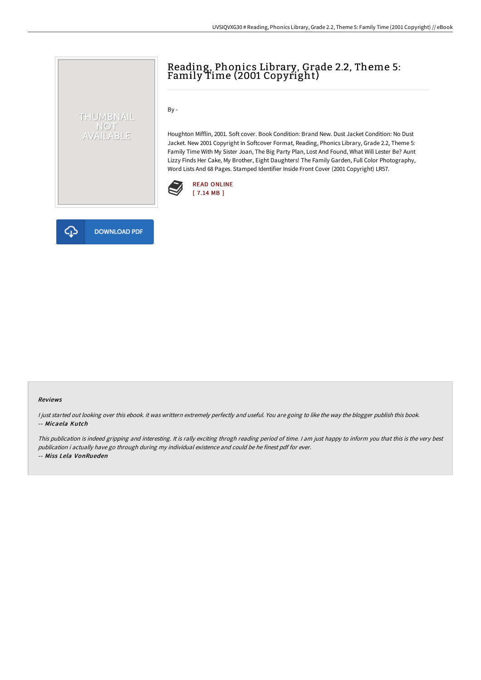# Reading, Phonics Library, Grade 2.2, Theme 5: Family Time (2001 Copyright)

By -

Houghton Mifflin, 2001. Soft cover. Book Condition: Brand New. Dust Jacket Condition: No Dust Jacket. New 2001 Copyright In Softcover Format, Reading, Phonics Library, Grade 2.2, Theme 5: Family Time With My Sister Joan, The Big Party Plan, Lost And Found, What Will Lester Be? Aunt Lizzy Finds Her Cake, My Brother, Eight Daughters! The Family Garden, Full Color Photography, Word Lists And 68 Pages. Stamped Identifier Inside Front Cover (2001 Copyright) LR57.





THUMBNAIL NOT<br>AVAILABLE

#### Reviews

I just started out looking over this ebook. it was writtern extremely perfectly and useful. You are going to like the way the blogger publish this book. -- Micaela Kutch

This publication is indeed gripping and interesting. It is rally exciting throgh reading period of time. <sup>I</sup> am just happy to inform you that this is the very best publication i actually have go through during my individual existence and could be he finest pdf for ever. -- Miss Lela VonRueden